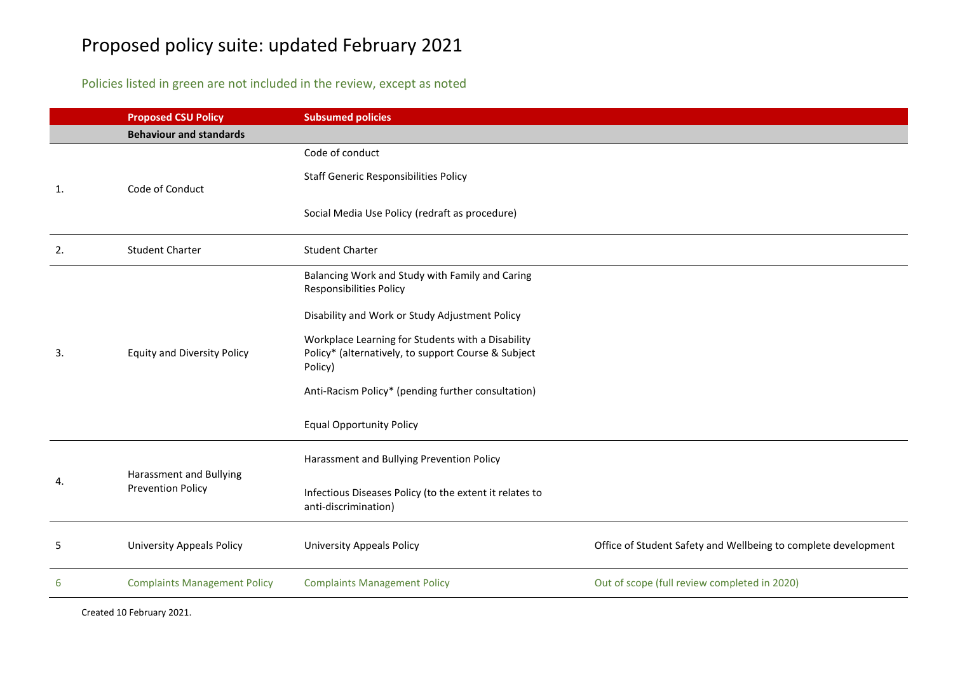## Proposed policy suite: updated February 2021

## Policies listed in green are not included in the review, except as noted

|    | <b>Proposed CSU Policy</b>                          | <b>Subsumed policies</b>                                                                                            |                                                                |
|----|-----------------------------------------------------|---------------------------------------------------------------------------------------------------------------------|----------------------------------------------------------------|
|    | <b>Behaviour and standards</b>                      |                                                                                                                     |                                                                |
| 1. | Code of Conduct                                     | Code of conduct                                                                                                     |                                                                |
|    |                                                     | <b>Staff Generic Responsibilities Policy</b>                                                                        |                                                                |
|    |                                                     | Social Media Use Policy (redraft as procedure)                                                                      |                                                                |
| 2. | <b>Student Charter</b>                              | <b>Student Charter</b>                                                                                              |                                                                |
|    | <b>Equity and Diversity Policy</b>                  | Balancing Work and Study with Family and Caring<br><b>Responsibilities Policy</b>                                   |                                                                |
|    |                                                     | Disability and Work or Study Adjustment Policy                                                                      |                                                                |
| 3. |                                                     | Workplace Learning for Students with a Disability<br>Policy* (alternatively, to support Course & Subject<br>Policy) |                                                                |
|    |                                                     | Anti-Racism Policy* (pending further consultation)                                                                  |                                                                |
|    |                                                     | <b>Equal Opportunity Policy</b>                                                                                     |                                                                |
|    | Harassment and Bullying<br><b>Prevention Policy</b> | Harassment and Bullying Prevention Policy                                                                           |                                                                |
| 4. |                                                     | Infectious Diseases Policy (to the extent it relates to<br>anti-discrimination)                                     |                                                                |
| 5  | <b>University Appeals Policy</b>                    | <b>University Appeals Policy</b>                                                                                    | Office of Student Safety and Wellbeing to complete development |
| 6  | <b>Complaints Management Policy</b>                 | <b>Complaints Management Policy</b>                                                                                 | Out of scope (full review completed in 2020)                   |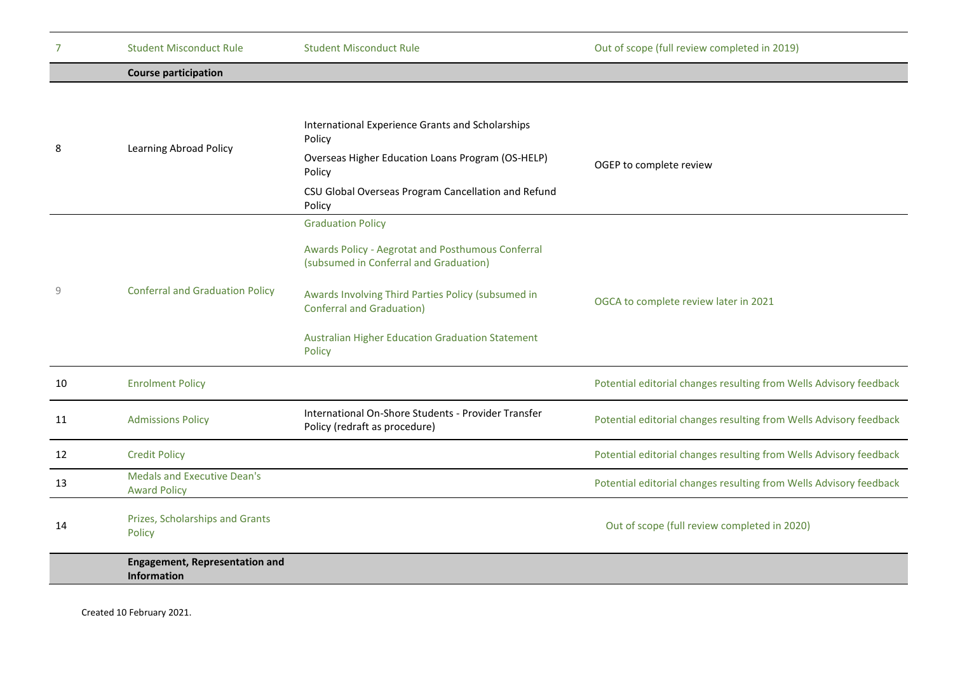| 7  | <b>Student Misconduct Rule</b>                              | <b>Student Misconduct Rule</b>                                                                                                                                                                                                                                                  | Out of scope (full review completed in 2019)                       |
|----|-------------------------------------------------------------|---------------------------------------------------------------------------------------------------------------------------------------------------------------------------------------------------------------------------------------------------------------------------------|--------------------------------------------------------------------|
|    | <b>Course participation</b>                                 |                                                                                                                                                                                                                                                                                 |                                                                    |
| 8  | Learning Abroad Policy                                      | International Experience Grants and Scholarships<br>Policy<br>Overseas Higher Education Loans Program (OS-HELP)<br>Policy<br>CSU Global Overseas Program Cancellation and Refund<br>Policy                                                                                      | OGEP to complete review                                            |
| 9  | <b>Conferral and Graduation Policy</b>                      | <b>Graduation Policy</b><br>Awards Policy - Aegrotat and Posthumous Conferral<br>(subsumed in Conferral and Graduation)<br>Awards Involving Third Parties Policy (subsumed in<br><b>Conferral and Graduation)</b><br>Australian Higher Education Graduation Statement<br>Policy | OGCA to complete review later in 2021                              |
| 10 | <b>Enrolment Policy</b>                                     |                                                                                                                                                                                                                                                                                 | Potential editorial changes resulting from Wells Advisory feedback |
| 11 | <b>Admissions Policy</b>                                    | International On-Shore Students - Provider Transfer<br>Policy (redraft as procedure)                                                                                                                                                                                            | Potential editorial changes resulting from Wells Advisory feedback |
| 12 | <b>Credit Policy</b>                                        |                                                                                                                                                                                                                                                                                 | Potential editorial changes resulting from Wells Advisory feedback |
| 13 | <b>Medals and Executive Dean's</b><br><b>Award Policy</b>   |                                                                                                                                                                                                                                                                                 | Potential editorial changes resulting from Wells Advisory feedback |
| 14 | Prizes, Scholarships and Grants<br>Policy                   |                                                                                                                                                                                                                                                                                 | Out of scope (full review completed in 2020)                       |
|    | <b>Engagement, Representation and</b><br><b>Information</b> |                                                                                                                                                                                                                                                                                 |                                                                    |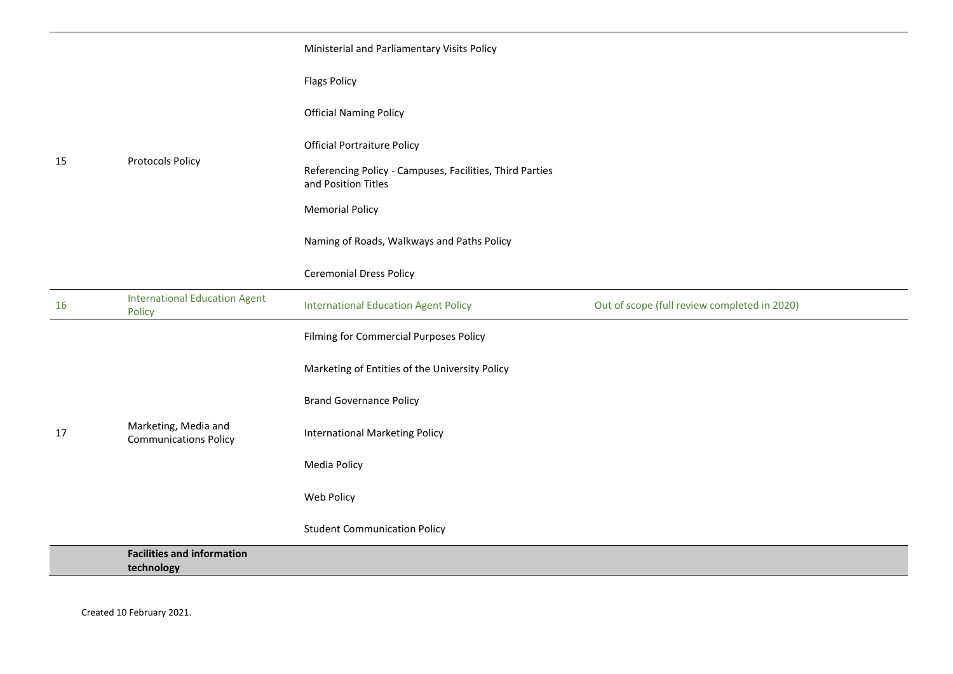|    | <b>Protocols Policy</b>                              | Ministerial and Parliamentary Visits Policy                                     |                                              |
|----|------------------------------------------------------|---------------------------------------------------------------------------------|----------------------------------------------|
|    |                                                      | <b>Flags Policy</b>                                                             |                                              |
|    |                                                      | <b>Official Naming Policy</b>                                                   |                                              |
|    |                                                      | <b>Official Portraiture Policy</b>                                              |                                              |
| 15 |                                                      | Referencing Policy - Campuses, Facilities, Third Parties<br>and Position Titles |                                              |
|    |                                                      | <b>Memorial Policy</b>                                                          |                                              |
|    |                                                      | Naming of Roads, Walkways and Paths Policy                                      |                                              |
|    |                                                      | <b>Ceremonial Dress Policy</b>                                                  |                                              |
| 16 | <b>International Education Agent</b><br>Policy       | <b>International Education Agent Policy</b>                                     | Out of scope (full review completed in 2020) |
|    | Marketing, Media and<br><b>Communications Policy</b> | Filming for Commercial Purposes Policy                                          |                                              |
|    |                                                      | Marketing of Entities of the University Policy                                  |                                              |
|    |                                                      | <b>Brand Governance Policy</b>                                                  |                                              |
| 17 |                                                      | <b>International Marketing Policy</b>                                           |                                              |
|    |                                                      | Media Policy                                                                    |                                              |
|    |                                                      | Web Policy                                                                      |                                              |
|    |                                                      | <b>Student Communication Policy</b>                                             |                                              |
|    | <b>Facilities and information</b><br>technology      |                                                                                 |                                              |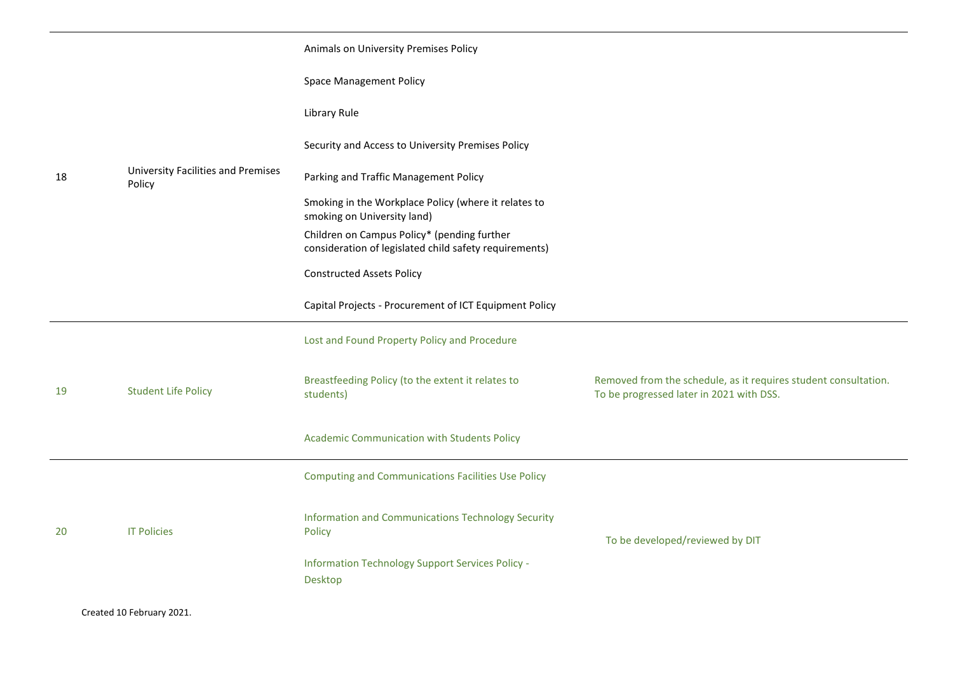|    |                                              | Animals on University Premises Policy                                                                 |                                                                                                             |
|----|----------------------------------------------|-------------------------------------------------------------------------------------------------------|-------------------------------------------------------------------------------------------------------------|
|    |                                              | <b>Space Management Policy</b>                                                                        |                                                                                                             |
|    |                                              | Library Rule                                                                                          |                                                                                                             |
|    |                                              | Security and Access to University Premises Policy                                                     |                                                                                                             |
| 18 | University Facilities and Premises<br>Policy | Parking and Traffic Management Policy                                                                 |                                                                                                             |
|    |                                              | Smoking in the Workplace Policy (where it relates to<br>smoking on University land)                   |                                                                                                             |
|    |                                              | Children on Campus Policy* (pending further<br>consideration of legislated child safety requirements) |                                                                                                             |
|    |                                              | <b>Constructed Assets Policy</b>                                                                      |                                                                                                             |
|    |                                              | Capital Projects - Procurement of ICT Equipment Policy                                                |                                                                                                             |
|    |                                              | Lost and Found Property Policy and Procedure                                                          |                                                                                                             |
| 19 | <b>Student Life Policy</b>                   | Breastfeeding Policy (to the extent it relates to<br>students)                                        | Removed from the schedule, as it requires student consultation.<br>To be progressed later in 2021 with DSS. |
|    |                                              | Academic Communication with Students Policy                                                           |                                                                                                             |
|    |                                              | <b>Computing and Communications Facilities Use Policy</b>                                             |                                                                                                             |
| 20 | <b>IT Policies</b>                           | Information and Communications Technology Security<br>Policy                                          | To be developed/reviewed by DIT                                                                             |
|    |                                              | Information Technology Support Services Policy -<br>Desktop                                           |                                                                                                             |
|    | Created 10 February 2021.                    |                                                                                                       |                                                                                                             |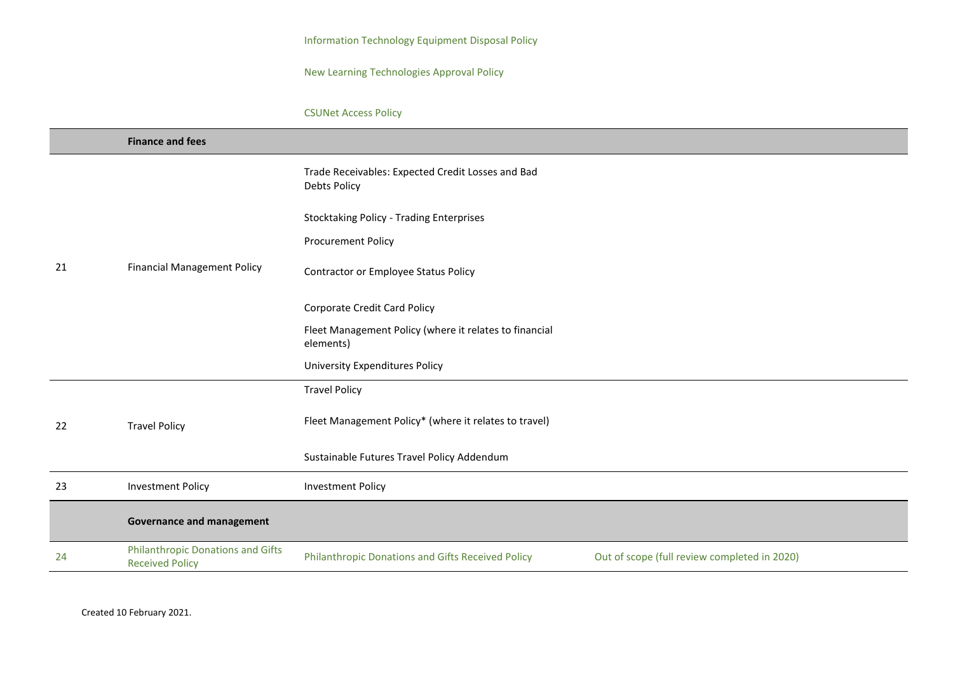Information Technology Equipment Disposal Policy

New Learning Technologies Approval Policy

## CSUNet Access Policy

|    | <b>Finance and fees</b>                                            |                                                                                                   |  |
|----|--------------------------------------------------------------------|---------------------------------------------------------------------------------------------------|--|
|    |                                                                    | Trade Receivables: Expected Credit Losses and Bad<br><b>Debts Policy</b>                          |  |
|    |                                                                    | <b>Stocktaking Policy - Trading Enterprises</b>                                                   |  |
|    |                                                                    | <b>Procurement Policy</b>                                                                         |  |
| 21 | <b>Financial Management Policy</b>                                 | Contractor or Employee Status Policy                                                              |  |
|    |                                                                    | <b>Corporate Credit Card Policy</b>                                                               |  |
|    |                                                                    | Fleet Management Policy (where it relates to financial<br>elements)                               |  |
|    |                                                                    | <b>University Expenditures Policy</b>                                                             |  |
|    |                                                                    | <b>Travel Policy</b>                                                                              |  |
| 22 | <b>Travel Policy</b>                                               | Fleet Management Policy* (where it relates to travel)                                             |  |
|    |                                                                    | Sustainable Futures Travel Policy Addendum                                                        |  |
| 23 | <b>Investment Policy</b>                                           | <b>Investment Policy</b>                                                                          |  |
|    | <b>Governance and management</b>                                   |                                                                                                   |  |
| 24 | <b>Philanthropic Donations and Gifts</b><br><b>Received Policy</b> | Philanthropic Donations and Gifts Received Policy<br>Out of scope (full review completed in 2020) |  |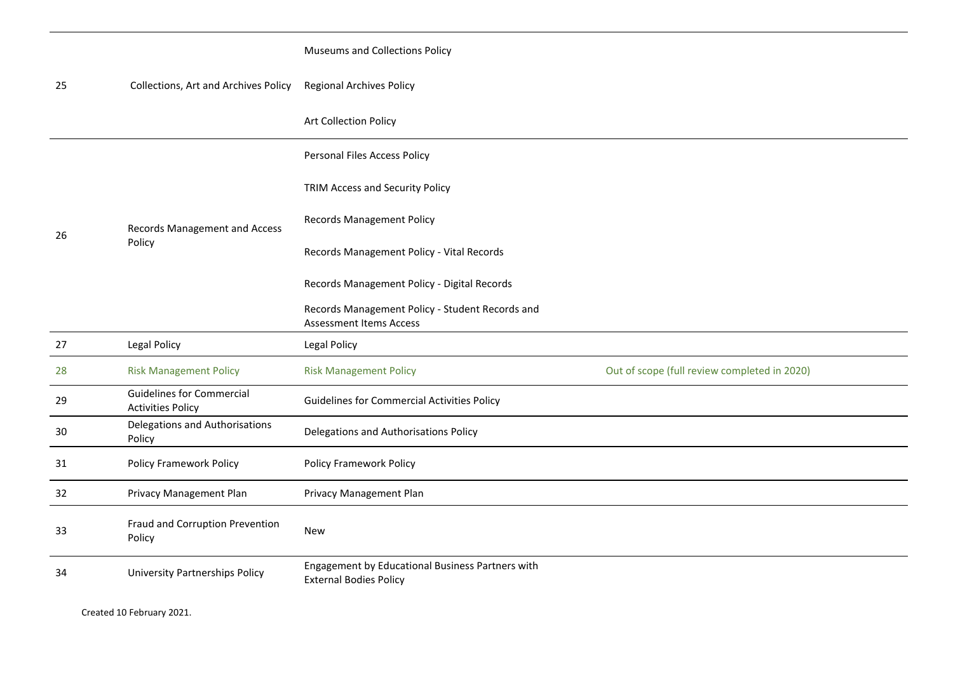| 25 | Collections, Art and Archives Policy                         | <b>Museums and Collections Policy</b>                                             |                                              |
|----|--------------------------------------------------------------|-----------------------------------------------------------------------------------|----------------------------------------------|
|    |                                                              | <b>Regional Archives Policy</b>                                                   |                                              |
|    |                                                              | Art Collection Policy                                                             |                                              |
|    | Records Management and Access<br>Policy                      | Personal Files Access Policy                                                      |                                              |
|    |                                                              | TRIM Access and Security Policy                                                   |                                              |
| 26 |                                                              | <b>Records Management Policy</b>                                                  |                                              |
|    |                                                              | Records Management Policy - Vital Records                                         |                                              |
|    |                                                              | Records Management Policy - Digital Records                                       |                                              |
|    |                                                              | Records Management Policy - Student Records and<br><b>Assessment Items Access</b> |                                              |
| 27 | <b>Legal Policy</b>                                          | Legal Policy                                                                      |                                              |
| 28 | <b>Risk Management Policy</b>                                | <b>Risk Management Policy</b>                                                     | Out of scope (full review completed in 2020) |
| 29 | <b>Guidelines for Commercial</b><br><b>Activities Policy</b> | <b>Guidelines for Commercial Activities Policy</b>                                |                                              |
|    |                                                              |                                                                                   |                                              |
| 30 | Delegations and Authorisations<br>Policy                     | Delegations and Authorisations Policy                                             |                                              |
| 31 | <b>Policy Framework Policy</b>                               | <b>Policy Framework Policy</b>                                                    |                                              |
| 32 | Privacy Management Plan                                      | Privacy Management Plan                                                           |                                              |
| 33 | Fraud and Corruption Prevention<br>Policy                    | <b>New</b>                                                                        |                                              |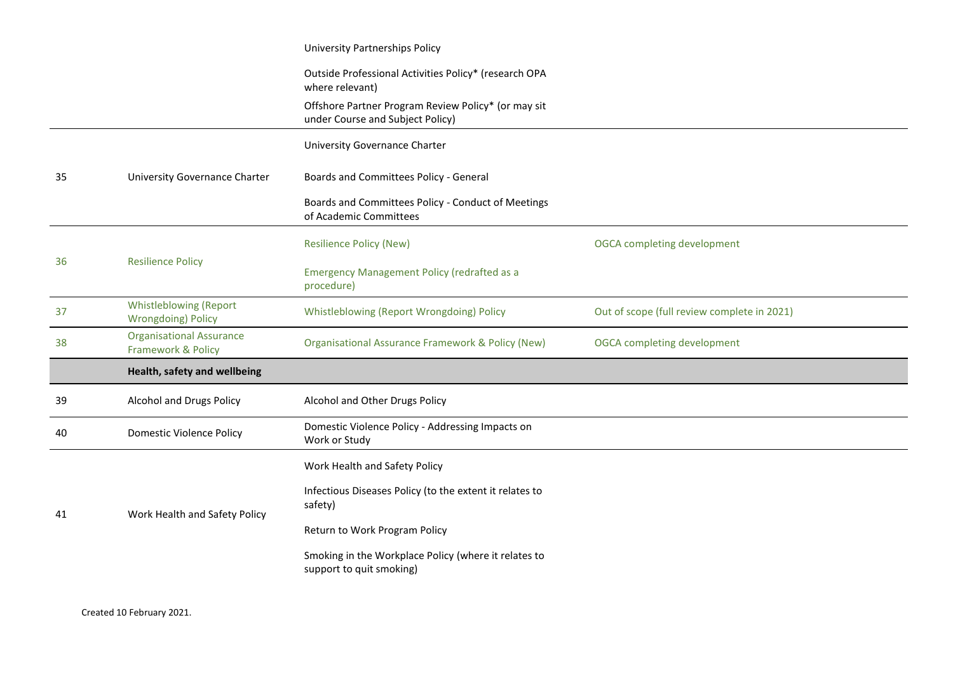|                                                            | University Partnerships Policy                                                          |                                             |
|------------------------------------------------------------|-----------------------------------------------------------------------------------------|---------------------------------------------|
|                                                            | Outside Professional Activities Policy* (research OPA<br>where relevant)                |                                             |
|                                                            | Offshore Partner Program Review Policy* (or may sit<br>under Course and Subject Policy) |                                             |
|                                                            | <b>University Governance Charter</b>                                                    |                                             |
| University Governance Charter                              | Boards and Committees Policy - General                                                  |                                             |
|                                                            | Boards and Committees Policy - Conduct of Meetings<br>of Academic Committees            |                                             |
| <b>Resilience Policy</b>                                   | <b>Resilience Policy (New)</b>                                                          | OGCA completing development                 |
|                                                            | <b>Emergency Management Policy (redrafted as a</b><br>procedure)                        |                                             |
| <b>Whistleblowing (Report</b><br><b>Wrongdoing) Policy</b> | Whistleblowing (Report Wrongdoing) Policy                                               | Out of scope (full review complete in 2021) |
| <b>Organisational Assurance</b><br>Framework & Policy      | Organisational Assurance Framework & Policy (New)                                       | <b>OGCA</b> completing development          |
| Health, safety and wellbeing                               |                                                                                         |                                             |
| Alcohol and Drugs Policy                                   | Alcohol and Other Drugs Policy                                                          |                                             |
| <b>Domestic Violence Policy</b>                            | Domestic Violence Policy - Addressing Impacts on<br>Work or Study                       |                                             |
| Work Health and Safety Policy                              | Work Health and Safety Policy                                                           |                                             |
|                                                            | Infectious Diseases Policy (to the extent it relates to<br>safety)                      |                                             |
|                                                            | Return to Work Program Policy                                                           |                                             |
|                                                            | Smoking in the Workplace Policy (where it relates to<br>support to quit smoking)        |                                             |
|                                                            |                                                                                         |                                             |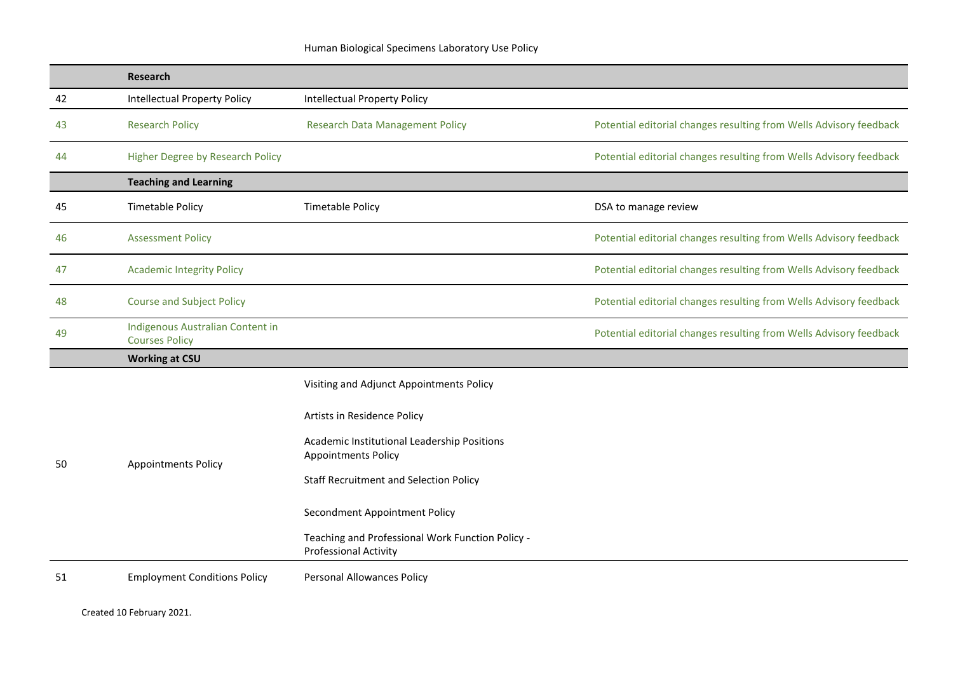|    | <b>Research</b>                                           |                                                                                                                                                                                                       |                                                                    |
|----|-----------------------------------------------------------|-------------------------------------------------------------------------------------------------------------------------------------------------------------------------------------------------------|--------------------------------------------------------------------|
| 42 | <b>Intellectual Property Policy</b>                       | <b>Intellectual Property Policy</b>                                                                                                                                                                   |                                                                    |
| 43 | <b>Research Policy</b>                                    | <b>Research Data Management Policy</b>                                                                                                                                                                | Potential editorial changes resulting from Wells Advisory feedback |
| 44 | Higher Degree by Research Policy                          |                                                                                                                                                                                                       | Potential editorial changes resulting from Wells Advisory feedback |
|    | <b>Teaching and Learning</b>                              |                                                                                                                                                                                                       |                                                                    |
| 45 | <b>Timetable Policy</b>                                   | <b>Timetable Policy</b>                                                                                                                                                                               | DSA to manage review                                               |
| 46 | <b>Assessment Policy</b>                                  |                                                                                                                                                                                                       | Potential editorial changes resulting from Wells Advisory feedback |
| 47 | <b>Academic Integrity Policy</b>                          |                                                                                                                                                                                                       | Potential editorial changes resulting from Wells Advisory feedback |
| 48 | <b>Course and Subject Policy</b>                          |                                                                                                                                                                                                       | Potential editorial changes resulting from Wells Advisory feedback |
| 49 | Indigenous Australian Content in<br><b>Courses Policy</b> |                                                                                                                                                                                                       | Potential editorial changes resulting from Wells Advisory feedback |
|    | <b>Working at CSU</b>                                     |                                                                                                                                                                                                       |                                                                    |
| 50 | <b>Appointments Policy</b>                                | Visiting and Adjunct Appointments Policy<br>Artists in Residence Policy<br>Academic Institutional Leadership Positions<br><b>Appointments Policy</b><br><b>Staff Recruitment and Selection Policy</b> |                                                                    |
|    |                                                           | Secondment Appointment Policy<br>Teaching and Professional Work Function Policy -<br><b>Professional Activity</b>                                                                                     |                                                                    |
| 51 | <b>Employment Conditions Policy</b>                       | <b>Personal Allowances Policy</b>                                                                                                                                                                     |                                                                    |